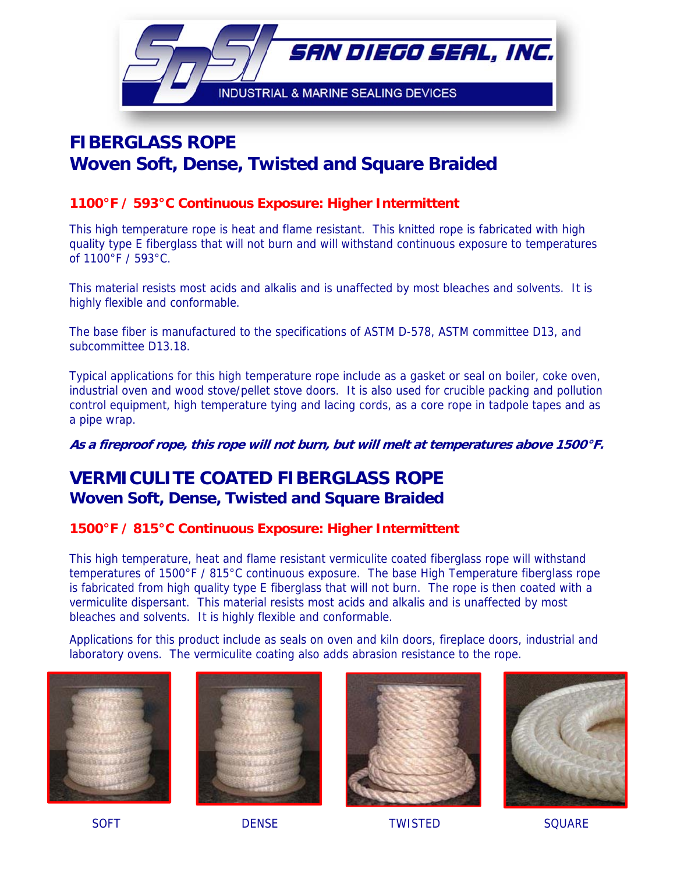

# **FIBERGLASS ROPE Woven Soft, Dense, Twisted and Square Braided**

#### **1100°F / 593°C Continuous Exposure: Higher Intermittent**

This high temperature rope is heat and flame resistant. This knitted rope is fabricated with high quality type E fiberglass that will not burn and will withstand continuous exposure to temperatures of 1100°F / 593°C.

This material resists most acids and alkalis and is unaffected by most bleaches and solvents. It is highly flexible and conformable.

The base fiber is manufactured to the specifications of ASTM D-578, ASTM committee D13, and subcommittee D13.18.

Typical applications for this high temperature rope include as a gasket or seal on boiler, coke oven, industrial oven and wood stove/pellet stove doors. It is also used for crucible packing and pollution control equipment, high temperature tying and lacing cords, as a core rope in tadpole tapes and as a pipe wrap.

**As a fireproof rope, this rope will not burn, but will melt at temperatures above 1500°F.** 

## **VERMICULITE COATED FIBERGLASS ROPE Woven Soft, Dense, Twisted and Square Braided**

#### **1500°F / 815°C Continuous Exposure: Higher Intermittent**

This high temperature, heat and flame resistant vermiculite coated fiberglass rope will withstand temperatures of 1500°F / 815°C continuous exposure. The base High Temperature fiberglass rope is fabricated from high quality type E fiberglass that will not burn. The rope is then coated with a vermiculite dispersant. This material resists most acids and alkalis and is unaffected by most bleaches and solvents. It is highly flexible and conformable.

Applications for this product include as seals on oven and kiln doors, fireplace doors, industrial and laboratory ovens. The vermiculite coating also adds abrasion resistance to the rope.









SOFT DENSE TWISTED SQUARE